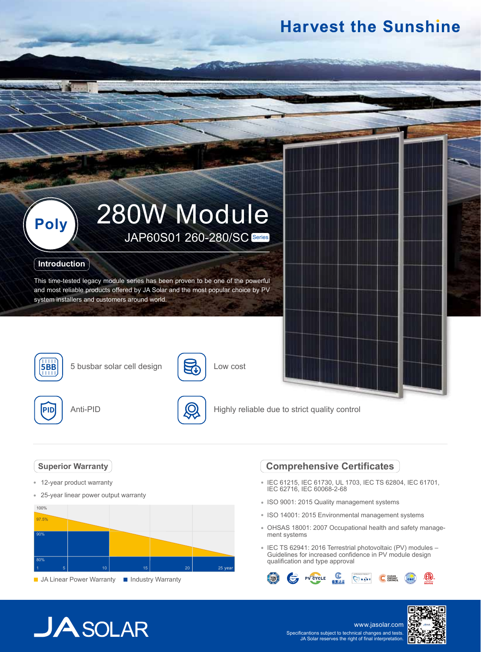# **Harvest the Sunshine**



### **Introduction**

This time-tested legacy module series has been proven to be one of the powerful and most reliable products offered by JA Solar and the most popular choice by PV system installers and customers around world.



**5BB** 5 busbar solar cell design





5

Low cost

Highly reliable due to strict quality control

### **Superior Warranty**

- 12-year product warranty
- $\hat{\mathbf{e}}$ 25-year linear power output warranty



#### **JA Linear Power Warranty III Industry Warranty**

### **Comprehensive Certificates**

- IEC 61215, IEC 61730, UL 1703, IEC TS 62804, IEC 61701, IEC 62716, IEC 60068-2-68
- ISO 9001: 2015 Quality management systems
- ISO 14001: 2015 Environmental management systems
- OHSAS 18001: 2007 Occupational health and safety management systems
- IEC TS 62941: 2016 Terrestrial photovoltaic (PV) modules Guidelines for increased confidence in PV module design qualification and type approval



# $JASOLAR$

www.jasolar.com Specificantions subject to technical changes and tests. JA Solar reserves the right of final interpretation.